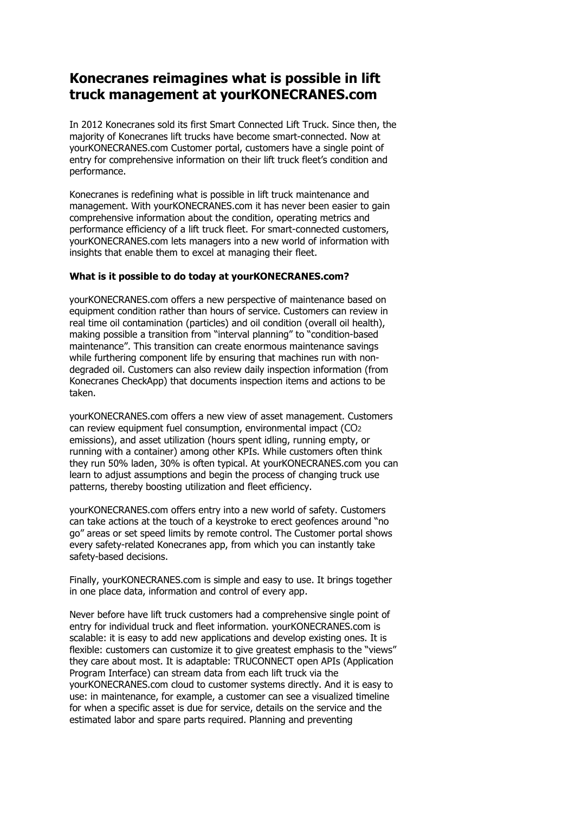## **Konecranes reimagines what is possible in lift truck management at yourKONECRANES.com**

In 2012 Konecranes sold its first Smart Connected Lift Truck. Since then, the majority of Konecranes lift trucks have become smart-connected. Now at yourKONECRANES.com Customer portal, customers have a single point of entry for comprehensive information on their lift truck fleet's condition and performance.

Konecranes is redefining what is possible in lift truck maintenance and management. With yourKONECRANES.com it has never been easier to gain comprehensive information about the condition, operating metrics and performance efficiency of a lift truck fleet. For smart-connected customers, yourKONECRANES.com lets managers into a new world of information with insights that enable them to excel at managing their fleet.

## **What is it possible to do today at yourKONECRANES.com?**

yourKONECRANES.com offers a new perspective of maintenance based on equipment condition rather than hours of service. Customers can review in real time oil contamination (particles) and oil condition (overall oil health), making possible a transition from "interval planning" to "condition-based maintenance". This transition can create enormous maintenance savings while furthering component life by ensuring that machines run with nondegraded oil. Customers can also review daily inspection information (from Konecranes CheckApp) that documents inspection items and actions to be taken.

yourKONECRANES.com offers a new view of asset management. Customers can review equipment fuel consumption, environmental impact (CO2 emissions), and asset utilization (hours spent idling, running empty, or running with a container) among other KPIs. While customers often think they run 50% laden, 30% is often typical. At yourKONECRANES.com you can learn to adjust assumptions and begin the process of changing truck use patterns, thereby boosting utilization and fleet efficiency.

yourKONECRANES.com offers entry into a new world of safety. Customers can take actions at the touch of a keystroke to erect geofences around "no go" areas or set speed limits by remote control. The Customer portal shows every safety-related Konecranes app, from which you can instantly take safety-based decisions.

Finally, yourKONECRANES.com is simple and easy to use. It brings together in one place data, information and control of every app.

Never before have lift truck customers had a comprehensive single point of entry for individual truck and fleet information. yourKONECRANES.com is scalable: it is easy to add new applications and develop existing ones. It is flexible: customers can customize it to give greatest emphasis to the "views" they care about most. It is adaptable: TRUCONNECT open APIs (Application Program Interface) can stream data from each lift truck via the yourKONECRANES.com cloud to customer systems directly. And it is easy to use: in maintenance, for example, a customer can see a visualized timeline for when a specific asset is due for service, details on the service and the estimated labor and spare parts required. Planning and preventing